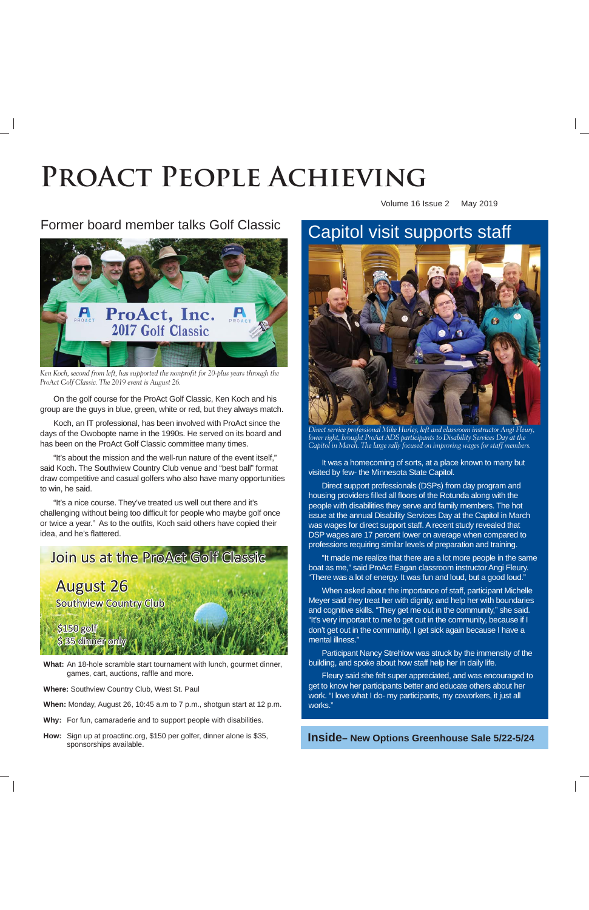# PROACT PEOPLE ACHIEVING **Produce Achieving**<br>Produce Achieving<br>Produce Achieving<br>Produce Achieving<br>Produce Achieving<br>Produce Achieving<br>Produce Achieving<br>Produce Achieving<br>Produce Achieving

Volume 16 Issue 2 May 2019

# Former board member talks Golf Classic



*Ken Koch, second from left, has supported the nonprofit for 20-plus years through the ProAct Golf Classic. The 2019 event is August 26.*

On the golf course for the ProAct Golf Classic, Ken Koch and his group are the guys in blue, green, white or red, but they always match.

Koch, an IT professional, has been involved with ProAct since the days of the Owobopte name in the 1990s. He served on its board and has been on the ProAct Golf Classic committee many times.

"It's about the mission and the well-run nature of the event itself," said Koch. The Southview Country Club venue and "best ball" format draw competitive and casual golfers who also have many opportunities to win, he said.

"It's a nice course. They've treated us well out there and it's challenging without being too difficult for people who maybe golf once or twice a year." As to the outfits, Koch said others have copied their idea, and he's flattered.



**What:** An 18-hole scramble start tournament with lunch, gourmet dinner, games, cart, auctions, raffle and more.

**Where:** Southview Country Club, West St. Paul

- **When:** Monday, August 26, 10:45 a.m to 7 p.m., shotgun start at 12 p.m.
- **Why:** For fun, camaraderie and to support people with disabilities.
- **How:** Sign up at proactinc.org, \$150 per golfer, dinner alone is \$35, sponsorships available.

# Capitol visit supports staff



*Direct service professional Mike Hurley, left and classroom instructor Angi Fleury, lower right, brought ProAct ADS participants to Disability Services Day at the Capitol in March. The large rally focused on improving wages for staff members.*

It was a homecoming of sorts, at a place known to many but visited by few- the Minnesota State Capitol.

Direct support professionals (DSPs) from day program and housing providers filled all floors of the Rotunda along with the people with disabilities they serve and family members. The hot issue at the annual Disability Services Day at the Capitol in March was wages for direct support staff. A recent study revealed that DSP wages are 17 percent lower on average when compared to professions requiring similar levels of preparation and training.

"It made me realize that there are a lot more people in the same boat as me," said ProAct Eagan classroom instructor Angi Fleury. "There was a lot of energy. It was fun and loud, but a good loud."

When asked about the importance of staff, participant Michelle Meyer said they treat her with dignity, and help her with boundaries and cognitive skills. "They get me out in the community," she said. "It's very important to me to get out in the community, because if I don't get out in the community, I get sick again because I have a mental illness."

Participant Nancy Strehlow was struck by the immensity of the building, and spoke about how staff help her in daily life.

Fleury said she felt super appreciated, and was encouraged to get to know her participants better and educate others about her work. "I love what I do- my participants, my coworkers, it just all works."

**Inside– New Options Greenhouse Sale 5/22-5/24**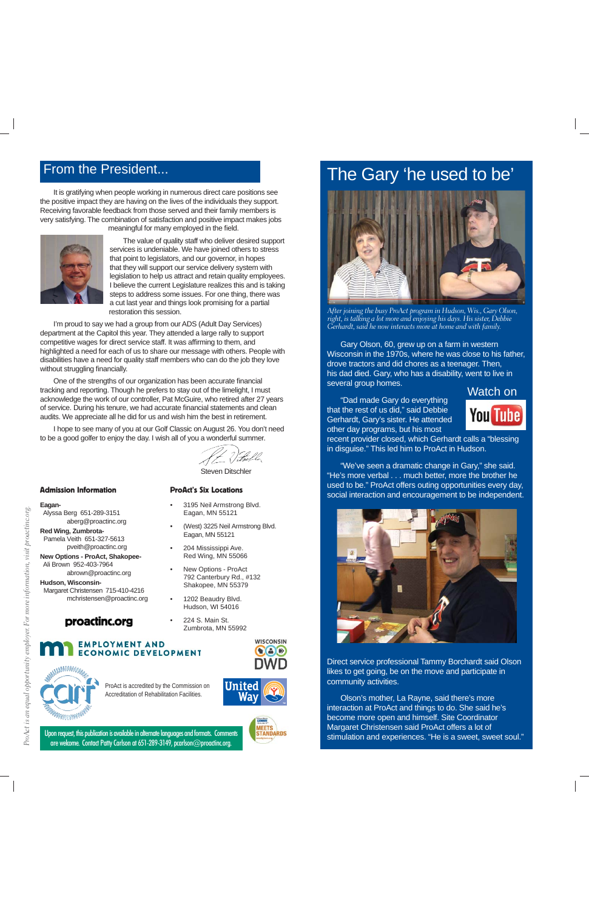# From the President...

It is gratifying when people working in numerous direct care positions see the positive impact they are having on the lives of the individuals they support. Receiving favorable feedback from those served and their family members is very satisfying. The combination of satisfaction and positive impact makes jobs meaningful for many employed in the field.



The value of quality staff who deliver desired support services is undeniable. We have joined others to stress that point to legislators, and our governor, in hopes that they will support our service delivery system with legislation to help us attract and retain quality employees. I believe the current Legislature realizes this and is taking steps to address some issues. For one thing, there was a cut last year and things look promising for a partial restoration this session.

I'm proud to say we had a group from our ADS (Adult Day Services) department at the Capitol this year. They attended a large rally to support competitive wages for direct service staff. It was affirming to them, and highlighted a need for each of us to share our message with others. People with disabilities have a need for quality staff members who can do the job they love without struggling financially.

One of the strengths of our organization has been accurate financial tracking and reporting. Though he prefers to stay out of the limelight, I must acknowledge the work of our controller, Pat McGuire, who retired after 27 years of service. During his tenure, we had accurate financial statements and clean audits. We appreciate all he did for us and wish him the best in retirement.

I hope to see many of you at our Golf Classic on August 26. You don't need to be a good golfer to enjoy the day. I wish all of you a wonderful summer.

(f. ?) Fulla

Steven Ditschler

• 3195 Neil Armstrong Blvd. Eagan, MN 55121

• (West) 3225 Neil Armstrong Blvd.

#### Admission Information

### ProAct's Six Locations

Eagan, MN 55121 • 204 Mississippi Ave. Red Wing, MN 55066 • New Options - ProAct 792 Canterbury Rd., #132 Shakopee, MN 55379 • 1202 Beaudry Blvd. Hudson, WI 54016 • 224 S. Main St.

**Eagan-**

*ProAct is an equal opportunity employer. For more information, visit proactinc.org.*

ProAct is an equal opportunity employer. For

more information, visit proactine.org.

 Alyssa Berg 651-289-3151 aberg@proactinc.org

**Red Wing, Zumbrota-** Pamela Veith 651-327-5613 pveith@proactinc.org

**New Options - ProAct, Shakopee-** Ali Brown 952-403-7964 abrown@proactinc.org

**Hudson, Wisconsin-** Margaret Christensen 715-410-4216 mchristensen@proactinc.org

# **proactinc.org**<br>Zumbrota, MN 55992

### **EMPLOYMENT AND ECONOMIC DEVELOPMENT**



ProAct is accredited by the Commission on Accreditation of Rehabilitation Facilities.



**MEETS STANDARDS** 

**WISCONSIN** 

 $\bullet$   $\bullet$ 

Upon request, this publication is available in alternate languages and formats. Comments are welcome. Contact Patty Carlson at 651-289-3149, pcarlson@proactinc.org.

# The Gary 'he used to be'



*After joining the busy ProAct program in Hudson, Wis., Gary Olson, right, is talking a lot more and enjoying his days. His sister, Debbie Gerhardt, said he now interacts more at home and with family.* 

Gary Olson, 60, grew up on a farm in western Wisconsin in the 1970s, where he was close to his father, drove tractors and did chores as a teenager. Then, his dad died. Gary, who has a disability, went to live in several group homes.

"Dad made Gary do everything that the rest of us did," said Debbie Gerhardt, Gary's sister. He attended other day programs, but his most



recent provider closed, which Gerhardt calls a "blessing in disguise." This led him to ProAct in Hudson.

"We've seen a dramatic change in Gary," she said. "He's more verbal . . . much better, more the brother he used to be." ProAct offers outing opportunities every day, social interaction and encouragement to be independent.



Direct service professional Tammy Borchardt said Olson likes to get going, be on the move and participate in community activities.

Olson's mother, La Rayne, said there's more interaction at ProAct and things to do. She said he's become more open and himself. Site Coordinator Margaret Christensen said ProAct offers a lot of stimulation and experiences. "He is a sweet, sweet soul."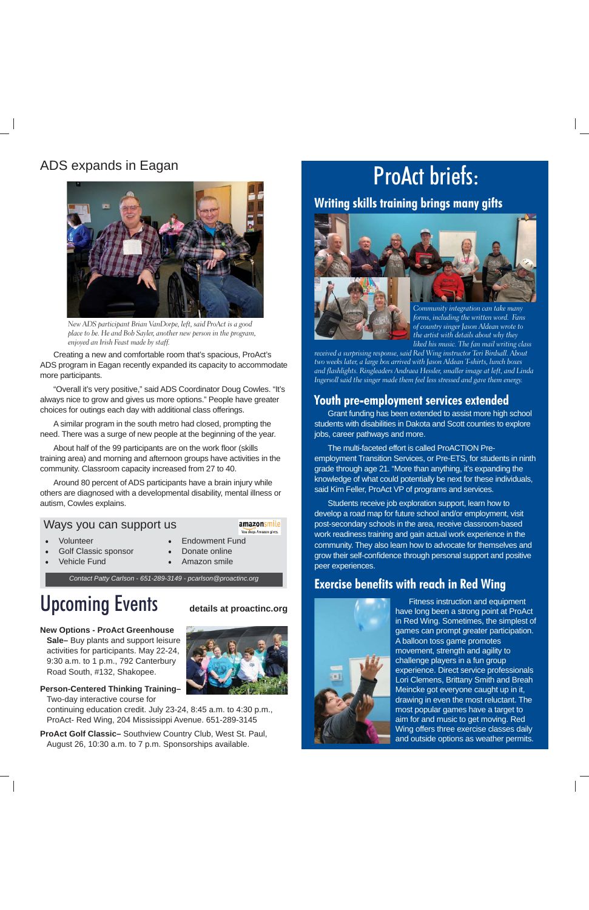# ADS expands in Eagan



*New ADS participant Brian VanDorpe, left, said ProAct is a good place to be. He and Bob Sayler, another new person in the program, enjoyed an Irish Feast made by staff.*

Creating a new and comfortable room that's spacious, ProAct's ADS program in Eagan recently expanded its capacity to accommodate more participants.

"Overall it's very positive," said ADS Coordinator Doug Cowles. "It's always nice to grow and gives us more options." People have greater choices for outings each day with additional class offerings.

A similar program in the south metro had closed, prompting the need. There was a surge of new people at the beginning of the year.

About half of the 99 participants are on the work floor (skills training area) and morning and afternoon groups have activities in the community. Classroom capacity increased from 27 to 40.

Around 80 percent of ADS participants have a brain injury while others are diagnosed with a developmental disability, mental illness or autism, Cowles explains.

### Ways you can support us

#### amazonsmile You shop. Amazon gives.

**Volunteer** 

- Endowment Fund
- Golf Classic sponsor
- Vehicle Fund
- Donate online • Amazon smile
- *Contact Patty Carlson 651-289-3149 pcarlson@proactinc.org*

# **Upcoming Events** details at proactinc.org

### **New Options - ProAct Greenhouse**

**Sale–** Buy plants and support leisure activities for participants. May 22-24, 9:30 a.m. to 1 p.m., 792 Canterbury Road South, #132, Shakopee.

**Person-Centered Thinking Training-**Two-day interactive course for

continuing education credit. July 23-24, 8:45 a.m. to 4:30 p.m., ProAct- Red Wing, 204 Mississippi Avenue. 651-289-3145

**ProAct Golf Classic–** Southview Country Club, West St. Paul, August 26, 10:30 a.m. to 7 p.m. Sponsorships available.

# ProAct briefs:

## **Writing skills training brings many gifts**





*received a surprising response, said Red Wing instructor Teri Birdsall. About two weeks later, a large box arrived with Jason Aldean T-shirts, lunch boxes and flashlights. Ringleaders Andraea Hessler, smaller image at left, and Linda Ingersoll said the singer made them feel less stressed and gave them energy.* 

## **Youth pre-employment services extended**

Grant funding has been extended to assist more high school students with disabilities in Dakota and Scott counties to explore jobs, career pathways and more.

The multi-faceted effort is called ProACTION Preemployment Transition Services, or Pre-ETS, for students in ninth grade through age 21. "More than anything, it's expanding the knowledge of what could potentially be next for these individuals, said Kim Feller, ProAct VP of programs and services.

Students receive job exploration support, learn how to develop a road map for future school and/or employment, visit post-secondary schools in the area, receive classroom-based work readiness training and gain actual work experience in the community. They also learn how to advocate for themselves and grow their self-confidence through personal support and positive peer experiences.

## **Exercise benefits with reach in Red Wing**



have long been a strong point at ProAct in Red Wing. Sometimes, the simplest of games can prompt greater participation. A balloon toss game promotes movement, strength and agility to challenge players in a fun group experience. Direct service professionals Lori Clemens, Brittany Smith and Breah Meincke got everyone caught up in it, drawing in even the most reluctant. The most popular games have a target to aim for and music to get moving. Red Wing offers three exercise classes daily and outside options as weather permits.

**details at proactinc.org**